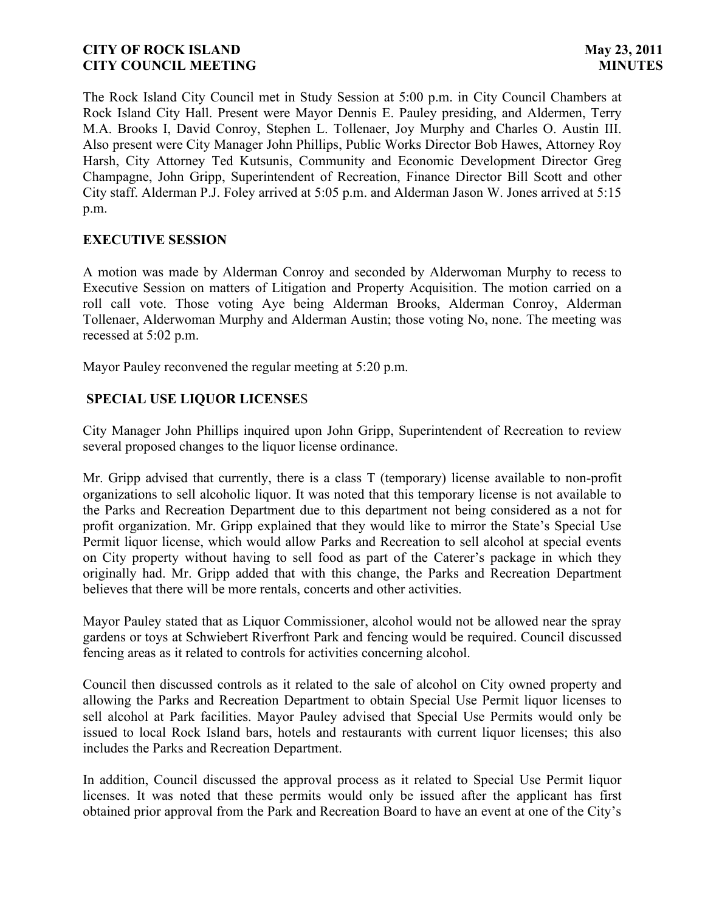The Rock Island City Council met in Study Session at 5:00 p.m. in City Council Chambers at Rock Island City Hall. Present were Mayor Dennis E. Pauley presiding, and Aldermen, Terry M.A. Brooks I, David Conroy, Stephen L. Tollenaer, Joy Murphy and Charles O. Austin III. Also present were City Manager John Phillips, Public Works Director Bob Hawes, Attorney Roy Harsh, City Attorney Ted Kutsunis, Community and Economic Development Director Greg Champagne, John Gripp, Superintendent of Recreation, Finance Director Bill Scott and other City staff. Alderman P.J. Foley arrived at 5:05 p.m. and Alderman Jason W. Jones arrived at 5:15 p.m.

# **EXECUTIVE SESSION**

A motion was made by Alderman Conroy and seconded by Alderwoman Murphy to recess to Executive Session on matters of Litigation and Property Acquisition. The motion carried on a roll call vote. Those voting Aye being Alderman Brooks, Alderman Conroy, Alderman Tollenaer, Alderwoman Murphy and Alderman Austin; those voting No, none. The meeting was recessed at 5:02 p.m.

Mayor Pauley reconvened the regular meeting at 5:20 p.m.

## **SPECIAL USE LIQUOR LICENSE**S

City Manager John Phillips inquired upon John Gripp, Superintendent of Recreation to review several proposed changes to the liquor license ordinance.

Mr. Gripp advised that currently, there is a class T (temporary) license available to non-profit organizations to sell alcoholic liquor. It was noted that this temporary license is not available to the Parks and Recreation Department due to this department not being considered as a not for profit organization. Mr. Gripp explained that they would like to mirror the State's Special Use Permit liquor license, which would allow Parks and Recreation to sell alcohol at special events on City property without having to sell food as part of the Caterer's package in which they originally had. Mr. Gripp added that with this change, the Parks and Recreation Department believes that there will be more rentals, concerts and other activities.

Mayor Pauley stated that as Liquor Commissioner, alcohol would not be allowed near the spray gardens or toys at Schwiebert Riverfront Park and fencing would be required. Council discussed fencing areas as it related to controls for activities concerning alcohol.

Council then discussed controls as it related to the sale of alcohol on City owned property and allowing the Parks and Recreation Department to obtain Special Use Permit liquor licenses to sell alcohol at Park facilities. Mayor Pauley advised that Special Use Permits would only be issued to local Rock Island bars, hotels and restaurants with current liquor licenses; this also includes the Parks and Recreation Department.

In addition, Council discussed the approval process as it related to Special Use Permit liquor licenses. It was noted that these permits would only be issued after the applicant has first obtained prior approval from the Park and Recreation Board to have an event at one of the City's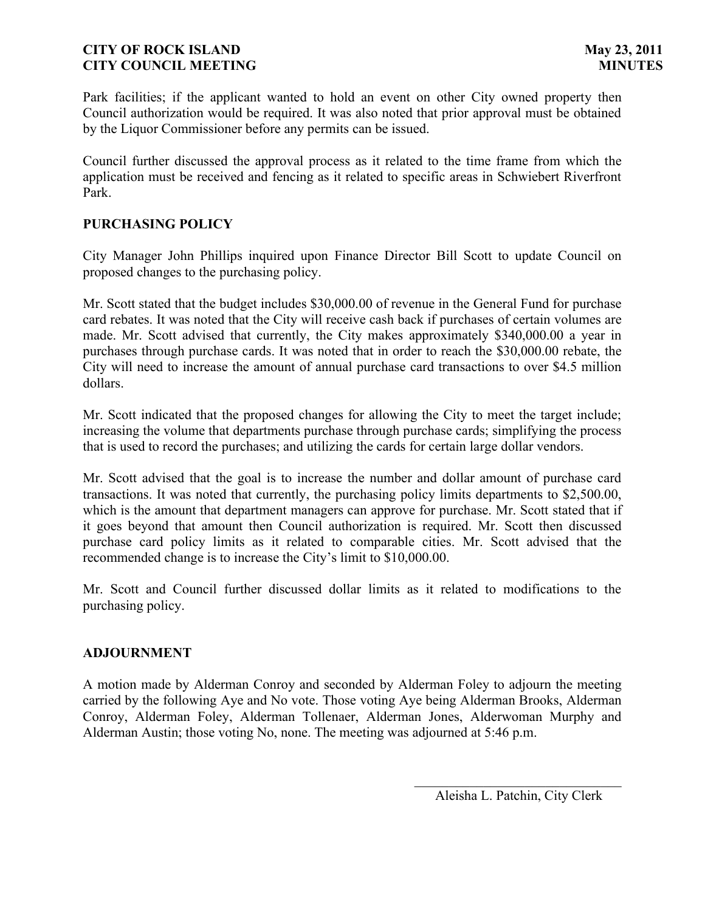Park facilities; if the applicant wanted to hold an event on other City owned property then Council authorization would be required. It was also noted that prior approval must be obtained by the Liquor Commissioner before any permits can be issued.

Council further discussed the approval process as it related to the time frame from which the application must be received and fencing as it related to specific areas in Schwiebert Riverfront Park.

### **PURCHASING POLICY**

City Manager John Phillips inquired upon Finance Director Bill Scott to update Council on proposed changes to the purchasing policy.

Mr. Scott stated that the budget includes \$30,000.00 of revenue in the General Fund for purchase card rebates. It was noted that the City will receive cash back if purchases of certain volumes are made. Mr. Scott advised that currently, the City makes approximately \$340,000.00 a year in purchases through purchase cards. It was noted that in order to reach the \$30,000.00 rebate, the City will need to increase the amount of annual purchase card transactions to over \$4.5 million dollars.

Mr. Scott indicated that the proposed changes for allowing the City to meet the target include; increasing the volume that departments purchase through purchase cards; simplifying the process that is used to record the purchases; and utilizing the cards for certain large dollar vendors.

Mr. Scott advised that the goal is to increase the number and dollar amount of purchase card transactions. It was noted that currently, the purchasing policy limits departments to \$2,500.00, which is the amount that department managers can approve for purchase. Mr. Scott stated that if it goes beyond that amount then Council authorization is required. Mr. Scott then discussed purchase card policy limits as it related to comparable cities. Mr. Scott advised that the recommended change is to increase the City's limit to \$10,000.00.

Mr. Scott and Council further discussed dollar limits as it related to modifications to the purchasing policy.

### **ADJOURNMENT**

A motion made by Alderman Conroy and seconded by Alderman Foley to adjourn the meeting carried by the following Aye and No vote. Those voting Aye being Alderman Brooks, Alderman Conroy, Alderman Foley, Alderman Tollenaer, Alderman Jones, Alderwoman Murphy and Alderman Austin; those voting No, none. The meeting was adjourned at 5:46 p.m.

 $\overline{\phantom{a}}$ Aleisha L. Patchin, City Clerk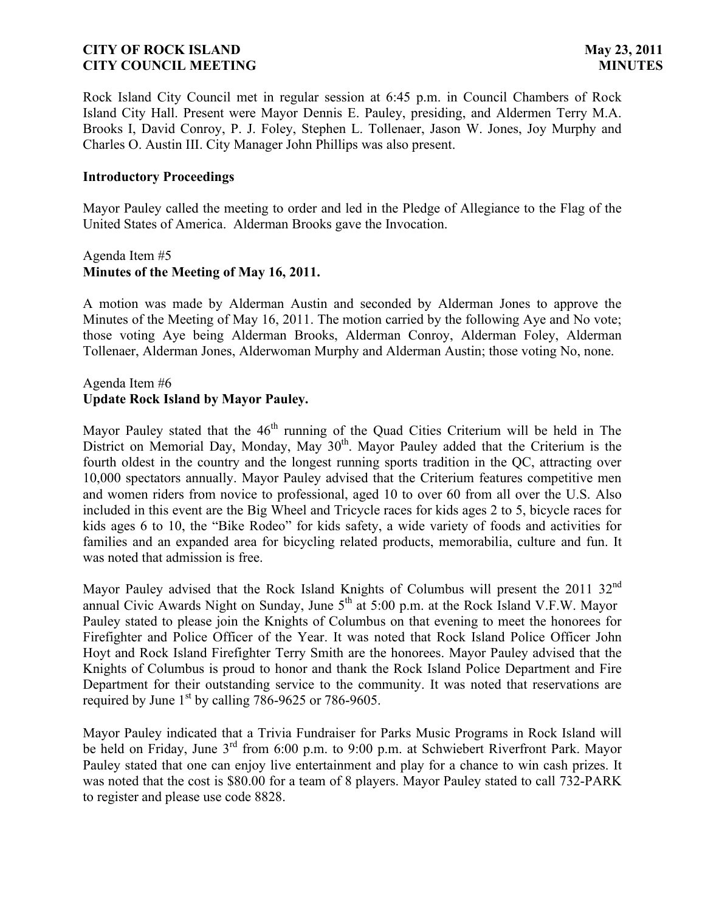Rock Island City Council met in regular session at 6:45 p.m. in Council Chambers of Rock Island City Hall. Present were Mayor Dennis E. Pauley, presiding, and Aldermen Terry M.A. Brooks I, David Conroy, P. J. Foley, Stephen L. Tollenaer, Jason W. Jones, Joy Murphy and Charles O. Austin III. City Manager John Phillips was also present.

### **Introductory Proceedings**

Mayor Pauley called the meeting to order and led in the Pledge of Allegiance to the Flag of the United States of America. Alderman Brooks gave the Invocation.

### Agenda Item #5 **Minutes of the Meeting of May 16, 2011.**

A motion was made by Alderman Austin and seconded by Alderman Jones to approve the Minutes of the Meeting of May 16, 2011. The motion carried by the following Aye and No vote; those voting Aye being Alderman Brooks, Alderman Conroy, Alderman Foley, Alderman Tollenaer, Alderman Jones, Alderwoman Murphy and Alderman Austin; those voting No, none.

## Agenda Item #6 **Update Rock Island by Mayor Pauley.**

Mayor Pauley stated that the  $46<sup>th</sup>$  running of the Quad Cities Criterium will be held in The District on Memorial Day, Monday, May  $30<sup>th</sup>$ . Mayor Pauley added that the Criterium is the fourth oldest in the country and the longest running sports tradition in the QC, attracting over 10,000 spectators annually. Mayor Pauley advised that the Criterium features competitive men and women riders from novice to professional, aged 10 to over 60 from all over the U.S. Also included in this event are the Big Wheel and Tricycle races for kids ages 2 to 5, bicycle races for kids ages 6 to 10, the "Bike Rodeo" for kids safety, a wide variety of foods and activities for families and an expanded area for bicycling related products, memorabilia, culture and fun. It was noted that admission is free.

Mayor Pauley advised that the Rock Island Knights of Columbus will present the 2011 32<sup>nd</sup> annual Civic Awards Night on Sunday, June  $5<sup>th</sup>$  at  $5:00$  p.m. at the Rock Island V.F.W. Mayor Pauley stated to please join the Knights of Columbus on that evening to meet the honorees for Firefighter and Police Officer of the Year. It was noted that Rock Island Police Officer John Hoyt and Rock Island Firefighter Terry Smith are the honorees. Mayor Pauley advised that the Knights of Columbus is proud to honor and thank the Rock Island Police Department and Fire Department for their outstanding service to the community. It was noted that reservations are required by June  $1<sup>st</sup>$  by calling 786-9625 or 786-9605.

Mayor Pauley indicated that a Trivia Fundraiser for Parks Music Programs in Rock Island will be held on Friday, June 3<sup>rd</sup> from 6:00 p.m. to 9:00 p.m. at Schwiebert Riverfront Park. Mayor Pauley stated that one can enjoy live entertainment and play for a chance to win cash prizes. It was noted that the cost is \$80.00 for a team of 8 players. Mayor Pauley stated to call 732-PARK to register and please use code 8828.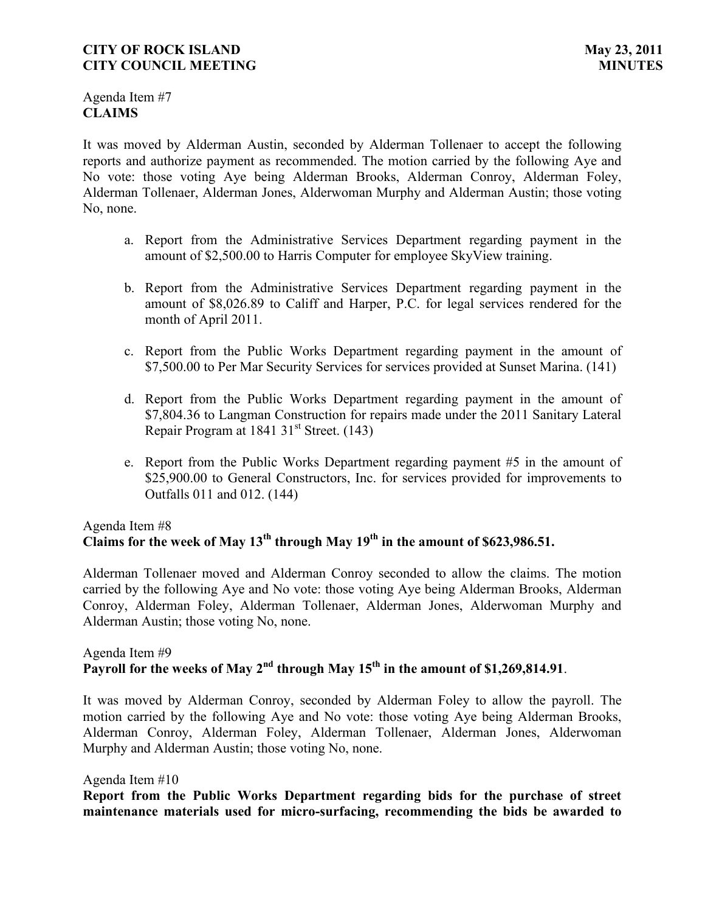Agenda Item #7 **CLAIMS**

It was moved by Alderman Austin, seconded by Alderman Tollenaer to accept the following reports and authorize payment as recommended. The motion carried by the following Aye and No vote: those voting Aye being Alderman Brooks, Alderman Conroy, Alderman Foley, Alderman Tollenaer, Alderman Jones, Alderwoman Murphy and Alderman Austin; those voting No, none.

- a. Report from the Administrative Services Department regarding payment in the amount of \$2,500.00 to Harris Computer for employee SkyView training.
- b. Report from the Administrative Services Department regarding payment in the amount of \$8,026.89 to Califf and Harper, P.C. for legal services rendered for the month of April 2011.
- c. Report from the Public Works Department regarding payment in the amount of \$7,500.00 to Per Mar Security Services for services provided at Sunset Marina. (141)
- d. Report from the Public Works Department regarding payment in the amount of \$7,804.36 to Langman Construction for repairs made under the 2011 Sanitary Lateral Repair Program at 1841 31 $^{\rm st}$  Street. (143)
- e. Report from the Public Works Department regarding payment #5 in the amount of \$25,900.00 to General Constructors, Inc. for services provided for improvements to Outfalls 011 and 012. (144)

# Agenda Item #8 **Claims for the week of May 13th through May 19th in the amount of \$623,986.51.**

Alderman Tollenaer moved and Alderman Conroy seconded to allow the claims. The motion carried by the following Aye and No vote: those voting Aye being Alderman Brooks, Alderman Conroy, Alderman Foley, Alderman Tollenaer, Alderman Jones, Alderwoman Murphy and Alderman Austin; those voting No, none.

# Agenda Item #9 **Payroll for the weeks of May 2nd through May 15th in the amount of \$1,269,814.91**.

It was moved by Alderman Conroy, seconded by Alderman Foley to allow the payroll. The motion carried by the following Aye and No vote: those voting Aye being Alderman Brooks, Alderman Conroy, Alderman Foley, Alderman Tollenaer, Alderman Jones, Alderwoman Murphy and Alderman Austin; those voting No, none.

### Agenda Item #10

**Report from the Public Works Department regarding bids for the purchase of street maintenance materials used for micro-surfacing, recommending the bids be awarded to**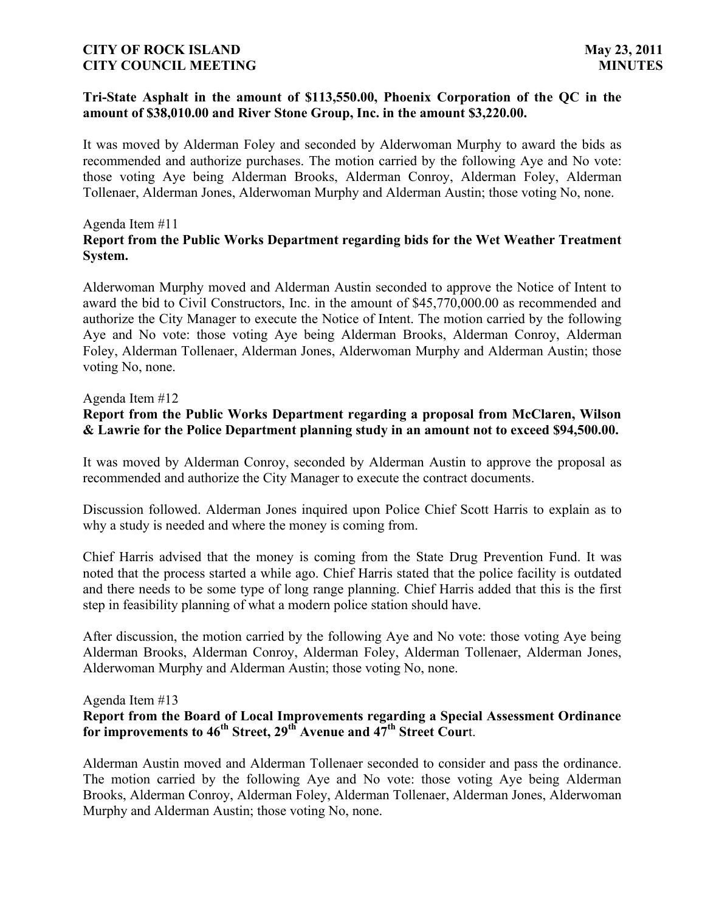### **Tri-State Asphalt in the amount of \$113,550.00, Phoenix Corporation of the QC in the amount of \$38,010.00 and River Stone Group, Inc. in the amount \$3,220.00.**

It was moved by Alderman Foley and seconded by Alderwoman Murphy to award the bids as recommended and authorize purchases. The motion carried by the following Aye and No vote: those voting Aye being Alderman Brooks, Alderman Conroy, Alderman Foley, Alderman Tollenaer, Alderman Jones, Alderwoman Murphy and Alderman Austin; those voting No, none.

### Agenda Item #11

# **Report from the Public Works Department regarding bids for the Wet Weather Treatment System.**

Alderwoman Murphy moved and Alderman Austin seconded to approve the Notice of Intent to award the bid to Civil Constructors, Inc. in the amount of \$45,770,000.00 as recommended and authorize the City Manager to execute the Notice of Intent. The motion carried by the following Aye and No vote: those voting Aye being Alderman Brooks, Alderman Conroy, Alderman Foley, Alderman Tollenaer, Alderman Jones, Alderwoman Murphy and Alderman Austin; those voting No, none.

### Agenda Item #12

## **Report from the Public Works Department regarding a proposal from McClaren, Wilson & Lawrie for the Police Department planning study in an amount not to exceed \$94,500.00.**

It was moved by Alderman Conroy, seconded by Alderman Austin to approve the proposal as recommended and authorize the City Manager to execute the contract documents.

Discussion followed. Alderman Jones inquired upon Police Chief Scott Harris to explain as to why a study is needed and where the money is coming from.

Chief Harris advised that the money is coming from the State Drug Prevention Fund. It was noted that the process started a while ago. Chief Harris stated that the police facility is outdated and there needs to be some type of long range planning. Chief Harris added that this is the first step in feasibility planning of what a modern police station should have.

After discussion, the motion carried by the following Aye and No vote: those voting Aye being Alderman Brooks, Alderman Conroy, Alderman Foley, Alderman Tollenaer, Alderman Jones, Alderwoman Murphy and Alderman Austin; those voting No, none.

#### Agenda Item #13

## **Report from the Board of Local Improvements regarding a Special Assessment Ordinance for improvements to 46th Street, 29th Avenue and 47th Street Cour**t.

Alderman Austin moved and Alderman Tollenaer seconded to consider and pass the ordinance. The motion carried by the following Aye and No vote: those voting Aye being Alderman Brooks, Alderman Conroy, Alderman Foley, Alderman Tollenaer, Alderman Jones, Alderwoman Murphy and Alderman Austin; those voting No, none.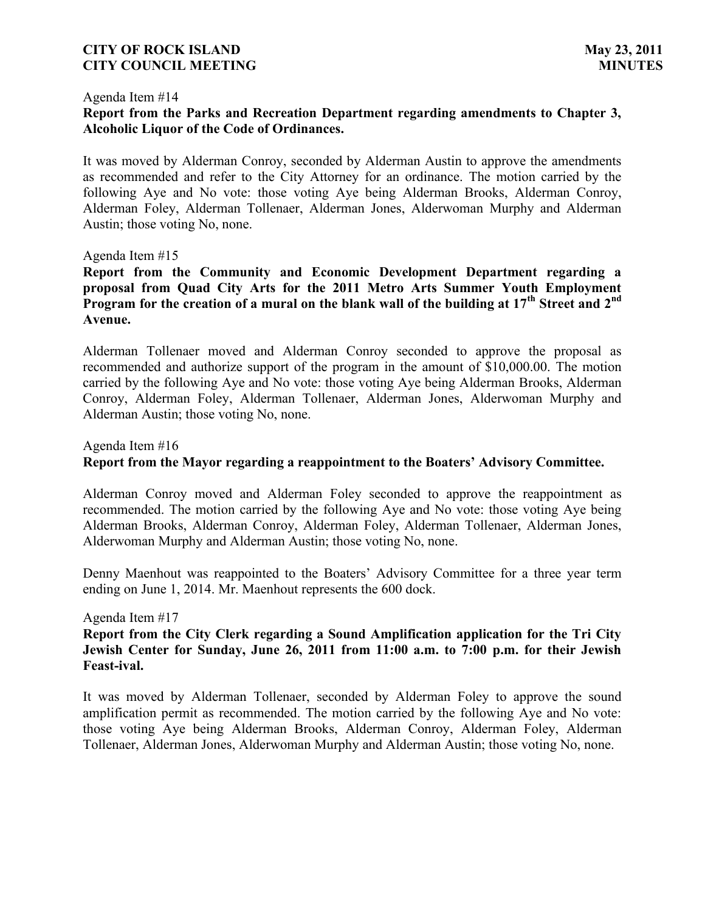#### Agenda Item #14

## **Report from the Parks and Recreation Department regarding amendments to Chapter 3, Alcoholic Liquor of the Code of Ordinances.**

It was moved by Alderman Conroy, seconded by Alderman Austin to approve the amendments as recommended and refer to the City Attorney for an ordinance. The motion carried by the following Aye and No vote: those voting Aye being Alderman Brooks, Alderman Conroy, Alderman Foley, Alderman Tollenaer, Alderman Jones, Alderwoman Murphy and Alderman Austin; those voting No, none.

#### Agenda Item #15

**Report from the Community and Economic Development Department regarding a proposal from Quad City Arts for the 2011 Metro Arts Summer Youth Employment Program for the creation of a mural on the blank wall of the building at 17th Street and 2nd Avenue.**

Alderman Tollenaer moved and Alderman Conroy seconded to approve the proposal as recommended and authorize support of the program in the amount of \$10,000.00. The motion carried by the following Aye and No vote: those voting Aye being Alderman Brooks, Alderman Conroy, Alderman Foley, Alderman Tollenaer, Alderman Jones, Alderwoman Murphy and Alderman Austin; those voting No, none.

#### Agenda Item #16

## **Report from the Mayor regarding a reappointment to the Boaters' Advisory Committee.**

Alderman Conroy moved and Alderman Foley seconded to approve the reappointment as recommended. The motion carried by the following Aye and No vote: those voting Aye being Alderman Brooks, Alderman Conroy, Alderman Foley, Alderman Tollenaer, Alderman Jones, Alderwoman Murphy and Alderman Austin; those voting No, none.

Denny Maenhout was reappointed to the Boaters' Advisory Committee for a three year term ending on June 1, 2014. Mr. Maenhout represents the 600 dock.

#### Agenda Item #17

## **Report from the City Clerk regarding a Sound Amplification application for the Tri City Jewish Center for Sunday, June 26, 2011 from 11:00 a.m. to 7:00 p.m. for their Jewish Feast-ival.**

It was moved by Alderman Tollenaer, seconded by Alderman Foley to approve the sound amplification permit as recommended. The motion carried by the following Aye and No vote: those voting Aye being Alderman Brooks, Alderman Conroy, Alderman Foley, Alderman Tollenaer, Alderman Jones, Alderwoman Murphy and Alderman Austin; those voting No, none.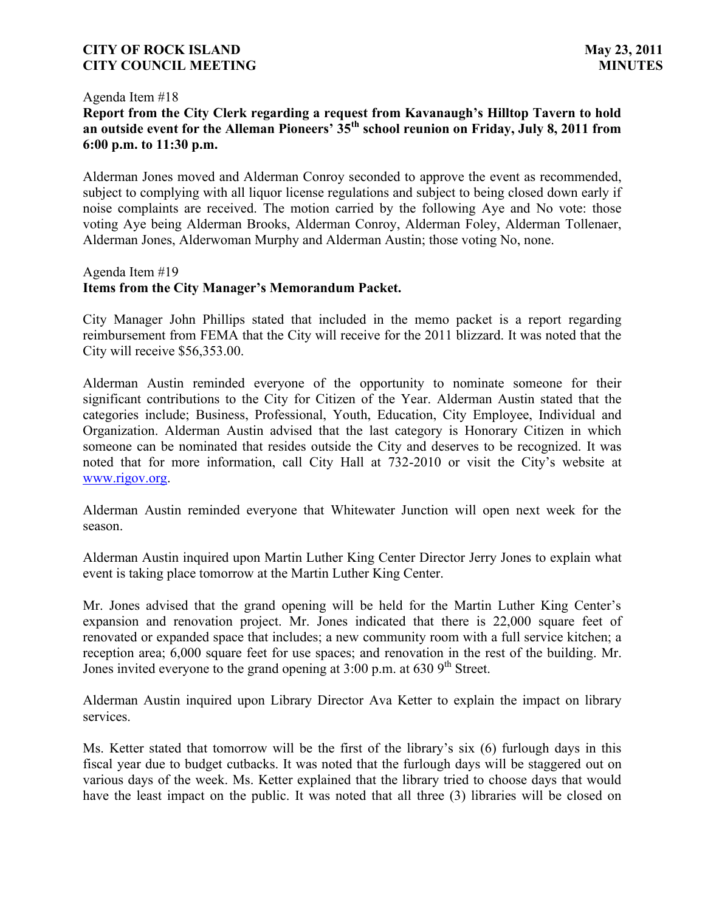#### Agenda Item #18

# **Report from the City Clerk regarding a request from Kavanaugh's Hilltop Tavern to hold**  an outside event for the Alleman Pioneers' 35<sup>th</sup> school reunion on Friday, July 8, 2011 from **6:00 p.m. to 11:30 p.m.**

Alderman Jones moved and Alderman Conroy seconded to approve the event as recommended, subject to complying with all liquor license regulations and subject to being closed down early if noise complaints are received. The motion carried by the following Aye and No vote: those voting Aye being Alderman Brooks, Alderman Conroy, Alderman Foley, Alderman Tollenaer, Alderman Jones, Alderwoman Murphy and Alderman Austin; those voting No, none.

### Agenda Item #19 **Items from the City Manager's Memorandum Packet.**

City Manager John Phillips stated that included in the memo packet is a report regarding reimbursement from FEMA that the City will receive for the 2011 blizzard. It was noted that the City will receive \$56,353.00.

Alderman Austin reminded everyone of the opportunity to nominate someone for their significant contributions to the City for Citizen of the Year. Alderman Austin stated that the categories include; Business, Professional, Youth, Education, City Employee, Individual and Organization. Alderman Austin advised that the last category is Honorary Citizen in which someone can be nominated that resides outside the City and deserves to be recognized. It was noted that for more information, call City Hall at 732-2010 or visit the City's website at [www.rigov.org.](http://www.rigov.org/)

Alderman Austin reminded everyone that Whitewater Junction will open next week for the season.

Alderman Austin inquired upon Martin Luther King Center Director Jerry Jones to explain what event is taking place tomorrow at the Martin Luther King Center.

Mr. Jones advised that the grand opening will be held for the Martin Luther King Center's expansion and renovation project. Mr. Jones indicated that there is 22,000 square feet of renovated or expanded space that includes; a new community room with a full service kitchen; a reception area; 6,000 square feet for use spaces; and renovation in the rest of the building. Mr. Jones invited everyone to the grand opening at  $3:00$  p.m. at  $630$  9<sup>th</sup> Street.

Alderman Austin inquired upon Library Director Ava Ketter to explain the impact on library services.

Ms. Ketter stated that tomorrow will be the first of the library's six (6) furlough days in this fiscal year due to budget cutbacks. It was noted that the furlough days will be staggered out on various days of the week. Ms. Ketter explained that the library tried to choose days that would have the least impact on the public. It was noted that all three (3) libraries will be closed on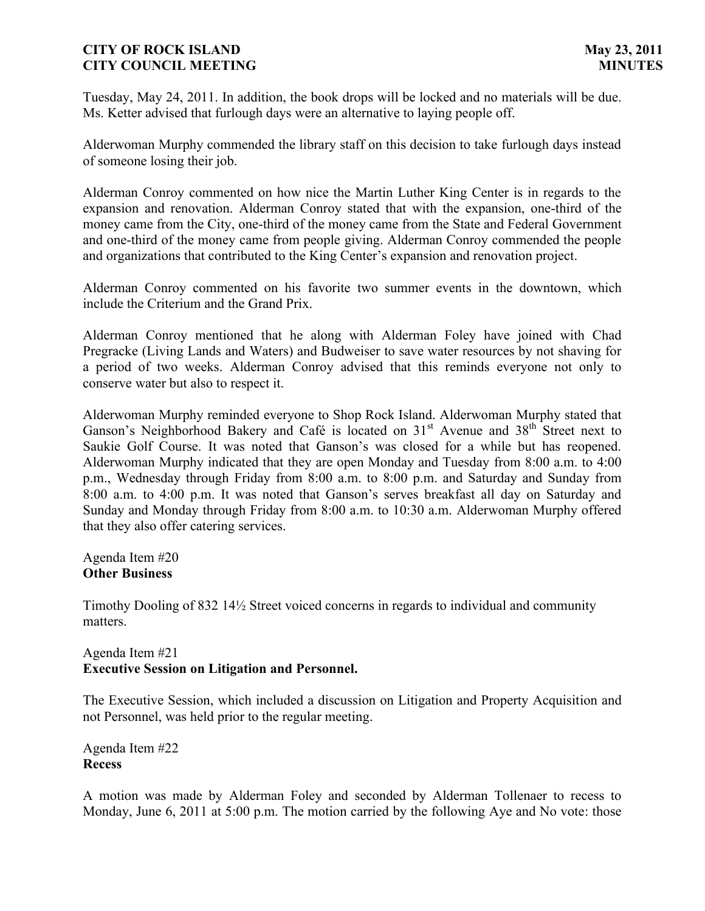Tuesday, May 24, 2011. In addition, the book drops will be locked and no materials will be due. Ms. Ketter advised that furlough days were an alternative to laying people off.

Alderwoman Murphy commended the library staff on this decision to take furlough days instead of someone losing their job.

Alderman Conroy commented on how nice the Martin Luther King Center is in regards to the expansion and renovation. Alderman Conroy stated that with the expansion, one-third of the money came from the City, one-third of the money came from the State and Federal Government and one-third of the money came from people giving. Alderman Conroy commended the people and organizations that contributed to the King Center's expansion and renovation project.

Alderman Conroy commented on his favorite two summer events in the downtown, which include the Criterium and the Grand Prix.

Alderman Conroy mentioned that he along with Alderman Foley have joined with Chad Pregracke (Living Lands and Waters) and Budweiser to save water resources by not shaving for a period of two weeks. Alderman Conroy advised that this reminds everyone not only to conserve water but also to respect it.

Alderwoman Murphy reminded everyone to Shop Rock Island. Alderwoman Murphy stated that Ganson's Neighborhood Bakery and Café is located on  $31<sup>st</sup>$  Avenue and  $38<sup>th</sup>$  Street next to Saukie Golf Course. It was noted that Ganson's was closed for a while but has reopened. Alderwoman Murphy indicated that they are open Monday and Tuesday from 8:00 a.m. to 4:00 p.m., Wednesday through Friday from 8:00 a.m. to 8:00 p.m. and Saturday and Sunday from 8:00 a.m. to 4:00 p.m. It was noted that Ganson's serves breakfast all day on Saturday and Sunday and Monday through Friday from 8:00 a.m. to 10:30 a.m. Alderwoman Murphy offered that they also offer catering services.

Agenda Item #20 **Other Business**

Timothy Dooling of 832 14<sup>1/2</sup> Street voiced concerns in regards to individual and community matters.

## Agenda Item #21 **Executive Session on Litigation and Personnel.**

The Executive Session, which included a discussion on Litigation and Property Acquisition and not Personnel, was held prior to the regular meeting.

Agenda Item #22 **Recess**

A motion was made by Alderman Foley and seconded by Alderman Tollenaer to recess to Monday, June 6, 2011 at 5:00 p.m. The motion carried by the following Aye and No vote: those